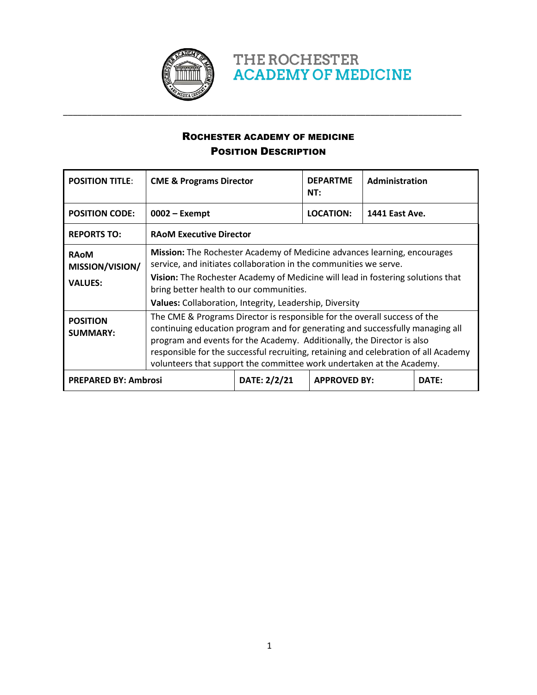

ROCHESTER ACADEMY OF MEDICINE POSITION DESCRIPTION

THE ROCHESTER

**ACADEMY OF MEDICINE** 

\_\_\_\_\_\_\_\_\_\_\_\_\_\_\_\_\_\_\_\_\_\_\_\_\_\_\_\_\_\_\_\_\_\_\_\_\_\_\_\_\_\_\_\_\_\_\_\_\_\_\_\_\_\_\_\_\_\_\_\_\_\_\_\_\_\_\_\_\_\_\_\_\_\_\_\_\_\_\_\_\_\_\_

| <b>POSITION TITLE:</b>                           | <b>CME &amp; Programs Director</b>                                                                                                                                                                                                                                                                                                                                                                   |              | <b>DEPARTME</b><br>NT: | Administration        |       |
|--------------------------------------------------|------------------------------------------------------------------------------------------------------------------------------------------------------------------------------------------------------------------------------------------------------------------------------------------------------------------------------------------------------------------------------------------------------|--------------|------------------------|-----------------------|-------|
| <b>POSITION CODE:</b>                            | $0002 -$ Exempt                                                                                                                                                                                                                                                                                                                                                                                      |              | <b>LOCATION:</b>       | <b>1441 East Ave.</b> |       |
| <b>REPORTS TO:</b>                               | <b>RAOM Executive Director</b>                                                                                                                                                                                                                                                                                                                                                                       |              |                        |                       |       |
| <b>RAoM</b><br>MISSION/VISION/<br><b>VALUES:</b> | Mission: The Rochester Academy of Medicine advances learning, encourages<br>service, and initiates collaboration in the communities we serve.<br>Vision: The Rochester Academy of Medicine will lead in fostering solutions that<br>bring better health to our communities.<br>Values: Collaboration, Integrity, Leadership, Diversity                                                               |              |                        |                       |       |
| <b>POSITION</b><br><b>SUMMARY:</b>               | The CME & Programs Director is responsible for the overall success of the<br>continuing education program and for generating and successfully managing all<br>program and events for the Academy. Additionally, the Director is also<br>responsible for the successful recruiting, retaining and celebration of all Academy<br>volunteers that support the committee work undertaken at the Academy. |              |                        |                       |       |
| <b>PREPARED BY: Ambrosi</b>                      |                                                                                                                                                                                                                                                                                                                                                                                                      | DATE: 2/2/21 | <b>APPROVED BY:</b>    |                       | DATE: |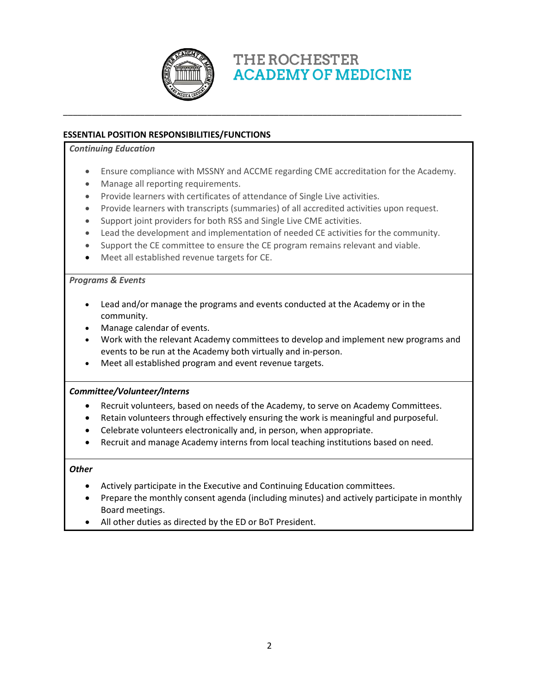

THE ROCHESTER **ACADEMY OF MEDICINE** 

## **ESSENTIAL POSITION RESPONSIBILITIES/FUNCTIONS**

### *Continuing Education*

- Ensure compliance with MSSNY and ACCME regarding CME accreditation for the Academy.
- Manage all reporting requirements.
- Provide learners with certificates of attendance of Single Live activities.
- Provide learners with transcripts (summaries) of all accredited activities upon request.

\_\_\_\_\_\_\_\_\_\_\_\_\_\_\_\_\_\_\_\_\_\_\_\_\_\_\_\_\_\_\_\_\_\_\_\_\_\_\_\_\_\_\_\_\_\_\_\_\_\_\_\_\_\_\_\_\_\_\_\_\_\_\_\_\_\_\_\_\_\_\_\_\_\_\_\_\_\_\_\_\_\_\_

- Support joint providers for both RSS and Single Live CME activities.
- Lead the development and implementation of needed CE activities for the community.
- Support the CE committee to ensure the CE program remains relevant and viable.
- Meet all established revenue targets for CE.

### *Programs & Events*

- Lead and/or manage the programs and events conducted at the Academy or in the community.
- Manage calendar of events.
- Work with the relevant Academy committees to develop and implement new programs and events to be run at the Academy both virtually and in-person.
- Meet all established program and event revenue targets.

### *Committee/Volunteer/Interns*

- Recruit volunteers, based on needs of the Academy, to serve on Academy Committees.
- Retain volunteers through effectively ensuring the work is meaningful and purposeful.
- Celebrate volunteers electronically and, in person, when appropriate.
- Recruit and manage Academy interns from local teaching institutions based on need.

### *Other*

- Actively participate in the Executive and Continuing Education committees.
- Prepare the monthly consent agenda (including minutes) and actively participate in monthly Board meetings.
- All other duties as directed by the ED or BoT President.